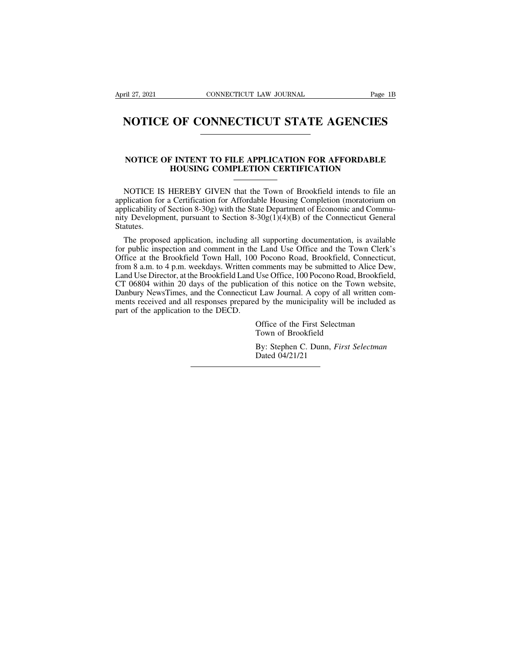# FRIE 27, 2021 CONNECTICUT LAW JOURNAL Page 1B<br> **NOTICE OF CONNECTICUT STATE AGENCIES**

# **NOTICE OF CONNECTICUT STATE AGENCIES**<br>
NOTICE OF INTENT TO FILE APPLICATION FOR AFFORDABLE<br>
HOUSING COMPLETION CERTIFICATION **OF CONNECTICUT STATE AGENCIES**<br>
FINTENT TO FILE APPLICATION FOR AFFORDABLE<br>
HOUSING COMPLETION CERTIFICATION

NOTICE OF INTENT TO FILE APPLICATION FOR AFFORDABLE<br>
HOUSING COMPLETION CERTIFICATION<br>
NOTICE IS HEREBY GIVEN that the Town of Brookfield intends to file an<br>
plication for a Certification for Affordable Housing Completion **NOTICE OF INTENT TO FILE APPLICATION FOR AFFORDABLE HOUSING COMPLETION CERTIFICATION**<br>
MOTICE IS HEREBY GIVEN that the Town of Brookfield intends to file an application for a Certification for Affordable Housing Completi **NOTICE OF INTENT TO FILE APPLICATION FOR AFFORDABLE HOUSING COMPLETION CERTIFICATION**<br>
MOTICE IS HEREBY GIVEN that the Town of Brookfield intends to file an application for a Certification for Affordable Housing Completi **NOTICE OF INTENT TO FILE APPLICATION FOR AFFORDABLE**<br> **HOUSING COMPLETION CERTIFICATION**<br>
NOTICE IS HEREBY GIVEN that the Town of Brookfield intends to file an<br>
application for a Certification for Affordable Housing Comp Statutes. NOTICE IS HEREBY GIVEN that the Town of Brookfield intends to file an plication for a Certification for Affordable Housing Completion (moratorium on plicability of Section 8-30g) with the State Department of Economic and NOTICE IS HEREBY GIVEN that the Town of Brookfield intends to file an application for a Certification for Affordable Housing Completion (moratorium on applicability of Section 8-30g) with the State Department of Economic

application for a Certification for Affordable Housing Completion (moratorium on applicability of Section 8-30g) with the State Department of Economic and Community Development, pursuant to Section 8-30g(1)(4)(B) of the Co applicability of Section 8-30g) with the State Department of Economic and Commu-<br>nity Development, pursuant to Section 8-30g(1)(4)(B) of the Connecticut General<br>Statutes.<br>The proposed application, including all supporting nity Development, pursuant to Section 8-30g(1)(4)(B) of the Connecticut General<br>Statutes.<br>The proposed application, including all supporting documentation, is available<br>for public inspection and comment in the Land Use Off Statutes.<br>The proposed application, including all supporting documentation, is available<br>for public inspection and comment in the Land Use Office and the Town Clerk's<br>Office at the Brookfield Town Hall, 100 Pocono Road, Br The proposed application, including all supporting documentation, is available<br>for public inspection and comment in the Land Use Office and the Town Clerk's<br>Office at the Brookfield Town Hall, 100 Pocono Road, Brookfield, Ine proposed application, including an supporting documentation, is available<br>for public inspection and comment in the Land Use Office and the Town Clerk's<br>Office at the Brookfield Town Hall, 100 Pocono Road, Brookfield, C For public inspection and comment in the<br>Office at the Brookfield Town Hall, 100<br>from 8 a.m. to 4 p.m. weekdays. Written co<br>Land Use Director, at the Brookfield Land U<br>CT 06804 within 20 days of the publicati<br>Danbury NewsT comments may be submitted to Alice Dew<br>Use Office, 100 Pocono Road, Brookfield<br>tion of this notice on the Town website<br>t Law Journal. A copy of all written com<br>d by the municipality will be included a<br>Office of the First S Use Office, 100 Pocono Road, E<br>tion of this notice on the Tow.<br>I Law Journal. A copy of all wr<br>d by the municipality will be in<br>Office of the First Selectman<br>Town of Brookfield<br>By: Stephen C. Dunn, *First Se.* Franchi of any folder of the Town website,<br>It Law Journal. A copy of all written com-<br>d by the municipality will be included as<br>Office of the First Selectman<br>Town of Brookfield<br>By: Stephen C. Dunn, *First Selectman*<br>Dated d by the munici<br>d by the munici<br>Office of the Fi<br>Town of Brook<br>By: Stephen C.<br>Dated 04/21/21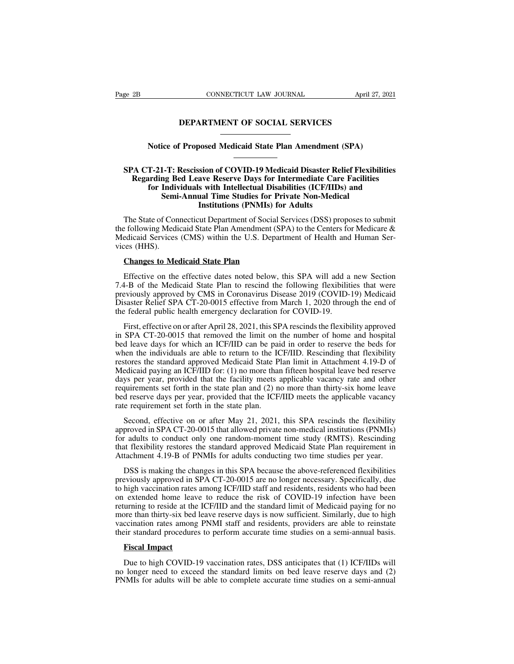# CONNECTICUT LAW JOURNAL April 2<br> **DEPARTMENT OF SOCIAL SERVICES** CONNECTICUT LAW JOURNAL<br> **Notice of Proposed Medicaid State Plan Amendment (SPA)**<br>
The CONTENUES<br>
The CONTENUES

# **SPA CT-21-T: Rescission of COVID-19 Medicaid Disaster Relief Flexibilities**<br>**SPA CT-21-T: Rescission of COVID-19 Medicaid Disaster Relief Flexibilities**<br>**Regarding Bed Leave Reserve Days for Intermediate Care Facilities**<br> **Regarding Bed Leave Reserve Days for Intermediate Care Facilities**<br>**Regarding Bed Leave Reserve Days for Intermediate Care Facilities**<br>**Regarding Bed Leave Reserve Days for Intermediate Care Facilities**<br>**for Individuals w For Individual State Plan Amendment (SPA)**<br> **f-21-T: Rescission of COVID-19 Medicaid Disaster Relief Flexibilities**<br> **for Individuals with Intellectual Disabilities (ICF/IIDs) and**<br> **Semi-Annual Time Studies for Private N** ice of Proposed Medicaid State Plan Amendment (SPA)<br> **Semi-Annual Time Studies for Intermediate Care Facility**<br> **Semi-Annual Time Studies for Private Non-Medical<br>
Institutions (PNMIs) for Adults Institution State Plan Amendment<br>
Institution of COVID-19 Medicaid Disaster Reference Reserve Days for Intermediate Cards with Intellectual Disabilities (ICF/IID:<br>
Institutions (PNMIs) for Adults<br>
Institutions (PNMIs) for** SPA CT-21-T: Rescission of COVID-19 Medicaid Disaster Relief Flexibilities<br>Regarding Bed Leave Reserve Days for Intermediate Care Facilities<br>for Individuals with Intellectual Disabilities (ICF/IIDs) and<br>Semi-Annual Time St SPA CT-21-T: Rescission of COVID-19 Medicaid Disaster Relief Flexibilities<br>Regarding Bed Leave Reserve Days for Intermediate Care Facilities<br>for Individuals with Intellectual Disabilities (ICF/IIDs) and<br>Semi-Annual Time St

Regarding Bed Leave Reserve Days for Intermediate Care Facilities<br>for Individuals with Intellectual Disabilities (ICF/IIDs) and<br>Semi-Annual Time Studies for Private Non-Medical<br>Institutions (PNMIs) for Adults<br>The State of for Indiversian<br>
Semi<br>
The State of Conte<br>
the following Medi<br>
Medicaid Services<br>
vices (HHS).<br>
Changes to Me **COMIS IDENTIFY:** Institutions (PNMIs) for The State of Connecticut Department of Social Services (CMS) within the U.S. Department (Sedicaid Services (CMS) within the U.S. Department (SILE CHATER CHATER CHATER CHATER CHATE The State of Connecticut Department of Social Services (DSS) proposes to submit<br>
Efollowing Medicaid State Plan Amendment (SPA) to the Centers for Medicare &<br>
edicaid Services (CMS) within the U.S. Department of Health and

the following Medicaid State Plan Amendment (SPA) to the Centers for Medicare &<br>Medicaid Services (CMS) within the U.S. Department of Health and Human Services (HHS).<br>Changes to Medicaid State Plan<br>Effective on the effecti Medicaid Services (CMS) within the U.S. Department of Health and Human Services (HHS).<br> **Changes to Medicaid State Plan**<br>
Effective on the effective dates noted below, this SPA will add a new Section<br>
7.4-B of the Medicaid vices (HHS).<br> **Changes to Medicaid State Plan**<br>
Effective on the effective dates noted below, this SPA will add a new Section<br>
7.4-B of the Medicaid State Plan to rescind the following flexibilities that were<br>
previously a **Changes to Medicaid State Plan**<br>Effective on the effective dates noted below, this SPA will add a<br>7.4-B of the Medicaid State Plan to rescind the following flexibilit<br>previously approved by CMS in Coronavirus Disease 2019 Effective on the effective dates noted below, this SPA will add a new Section 4-B of the Medicaid State Plan to rescind the following flexibilities that were eviously approved by CMS in Coronavirus Disease 2019 (COVID-19) Effective on the effective dates noted below, this SPA will add a new Section 7.4-B of the Medicaid State Plan to rescind the following flexibilities that were previously approved by CMS in Coronavirus Disease 2019 (COVID-

7.4-B of the Medicaid State Plan to rescind the following flexibilities that were<br>previously approved by CMS in Coronavirus Disease 2019 (COVID-19) Medicaid<br>Disaster Relief SPA CT-20-0015 effective from March 1, 2020 throu previously approved by CMS in Coronavirus Disease 2019 (COVID-19) Medicaid<br>Disaster Relief SPA CT-20-0015 effective from March 1, 2020 through the end of<br>the federal public health emergency declaration for COVID-19.<br>First, Disaster Relief SPA CT-20-0015 effective from March 1, 2020 through the end of<br>the federal public health emergency declaration for COVID-19.<br>First, effective on or after April 28, 2021, this SPA rescinds the flexibility ap the federal public health emergency declaration for COVID-19.<br>First, effective on or after April 28, 2021, this SPA rescinds the flexibility approved<br>in SPA CT-20-0015 that removed the limit on the number of home and hospi First, effective on or after April 28, 2021, this SPA rescinds the flexibility approved<br>in SPA CT-20-0015 that removed the limit on the number of home and hospital<br>bed leave days for which an ICF/IID can be paid in order t First, circuive on of alter Apm 28, 2021, this 31 A resemble in charactering approved<br>in SPA CT-20-0015 that removed the limit on the number of home and hospital<br>bed leave days for which an ICF/IID can be paid in order to In 31 A C1-20-0013 that Ichioved the film of the funniocr of home and hospital<br>bed leave days for which an ICF/IID can be paid in order to reserve the beds for<br>when the individuals are able to return to the ICF/IID. Resci bed ideate days for which an ICF/ID can be paid<br>when the individuals are able to return to the IC<br>restores the standard approved Medicaid State P<br>Medicaid paying an ICF/IID for: (1) no more than<br>days per year, provided tha stores the standard approved Medicaid State Plan limit in Attachment 4.19-D of<br>edicaid paying an ICF/IID for: (1) no more than fifteen hospital leave bed reserve<br>ys per year, provided that the facility meets applicable vac Medicald paying an ICF/IID for: (1) no more than fifteen hospital leave bed reserve<br>days per year, provided that the facility meets applicable vacancy rate and other<br>requirements set forth in the state plan and (2) no more

days per year, provided that the facility meets applicable vacancy rate and other<br>requirements set forth in the state plan and (2) no more than thirty-six home leave<br>bed reserve days per year, provided that the ICF/IID mee requirements set forth in the state plan and (2) no more than thirty-six home leave<br>bed reserve days per year, provided that the ICF/IID meets the applicable vacancy<br>rate requirement set forth in the state plan.<br>Second, ef bed reserve days per year, provided that the ICF/IID meets the applicable vacancy<br>rate requirement set forth in the state plan.<br>Second, effective on or after May 21, 2021, this SPA rescinds the flexibility<br>approved in SPA Second, effective on or after May 21, 2021, this SPA rescinds the flexibility<br>proved in SPA CT-20-0015 that allowed private non-medical institutions (PNMIs)<br>r adults to conduct only one random-moment time study (RMTS). Res Second, effective on or after May 21, 2021, this SPA rescinds the flexibility<br>approved in SPA CT-20-0015 that allowed private non-medical institutions (PNMIs)<br>for adults to conduct only one random-moment time study (RMTS).

approved in SPA CT-20-0015 that allowed private non-medical institutions (PNMIs)<br>for adults to conduct only one random-moment time study (RMTS). Rescinding<br>that flexibility restores the standard approved Medicaid State Pla for adults to conduct only one random-moment time study (RMTS). Rescinding<br>that flexibility restores the standard approved Medicaid State Plan requirement in<br>Attachment 4.19-B of PNMIs for adults conducting two time studie that flexibility restores the standard approved Medicaid State Plan requirement in<br>Attachment 4.19-B of PNMIs for adults conducting two time studies per year.<br>DSS is making the changes in this SPA because the above-referen Attachment 4.19-B of PNMIs for adults conducting two time studies per year.<br>
DSS is making the changes in this SPA because the above-referenced flexibilities<br>
previously approved in SPA CT-20-0015 are no longer necessary. DSS is making the changes in this SPA because the above-referenced flexibilities<br>previously approved in SPA CT-20-0015 are no longer necessary. Specifically, due<br>to high vaccination rates among ICF/IID staff and residents, Bos is making the changes in this 31 A occalise the above-ferencied rexionities<br>previously approved in SPA CT-20-0015 are no longer necessary. Specifically, due<br>to high vaccination rates among ICF/IID staff and residents, to high vaccination rates among ICF/IID staff and residents, residents who had been<br>on extended home leave to reduce the risk of COVID-19 infection have been<br>returning to reside at the ICF/IID and the standard limit of Med urning to reside at the ICF/IID and the standard limit of Medicaid paying for no<br>ore than thirty-six bed leave reserve days is now sufficient. Similarly, due to high<br>ccination rates among PNMI staff and residents, provider more than thirty-six bed leave reserve days is now sufficient. Similarly, due to high vaccination rates among PNMI staff and residents, providers are able to reinstate their standard procedures to perform accurate time stu

Fiscal Impact<br>
Pue to high COVID-19 vaccination rates, DSS anticipates that (1) ICF/IIDs will<br>
no longer need to exceed the standard limits on bed leave reserve days and (2)<br>
PNMIs for adults will be able to complete accur